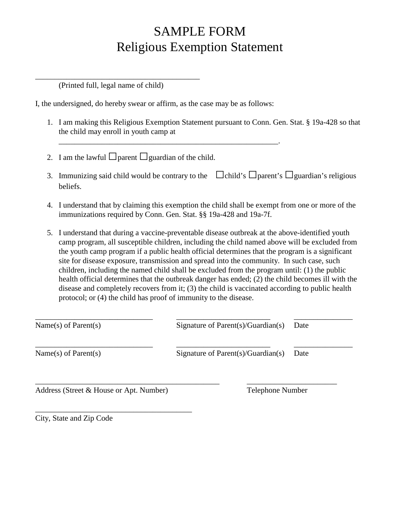## SAMPLE FORM Religious Exemption Statement

(Printed full, legal name of child)

\_\_\_\_\_\_\_\_\_\_\_\_\_\_\_\_\_\_\_\_\_\_\_\_\_\_\_\_\_\_\_\_\_\_\_\_\_\_\_\_\_\_

I, the undersigned, do hereby swear or affirm, as the case may be as follows:

\_\_\_\_\_\_\_\_\_\_\_\_\_\_\_\_\_\_\_\_\_\_\_\_\_\_\_\_\_\_\_\_\_\_\_\_\_\_\_\_\_\_\_\_\_\_\_\_\_\_\_\_\_\_\_\_.

- 1. I am making this Religious Exemption Statement pursuant to Conn. Gen. Stat. § 19a-428 so that the child may enroll in youth camp at
- 2. I am the lawful  $\Box$ parent  $\Box$ guardian of the child.
- 3. Immunizing said child would be contrary to the  $\Box$ child's  $\Box$ parent's  $\Box$ guardian's religious beliefs.
- 4. I understand that by claiming this exemption the child shall be exempt from one or more of the immunizations required by Conn. Gen. Stat. §§ 19a-428 and 19a-7f.
- 5. I understand that during a vaccine-preventable disease outbreak at the above-identified youth camp program, all susceptible children, including the child named above will be excluded from the youth camp program if a public health official determines that the program is a significant site for disease exposure, transmission and spread into the community. In such case, such children, including the named child shall be excluded from the program until: (1) the public health official determines that the outbreak danger has ended; (2) the child becomes ill with the disease and completely recovers from it; (3) the child is vaccinated according to public health protocol; or (4) the child has proof of immunity to the disease.

| Name(s) of Parent(s)                    | Signature of Parent(s)/Guardian(s) | Date |
|-----------------------------------------|------------------------------------|------|
| Name(s) of Parent(s)                    | Signature of Parent(s)/Guardian(s) | Date |
| Address (Street & House or Apt. Number) | Telephone Number                   |      |

City, State and Zip Code